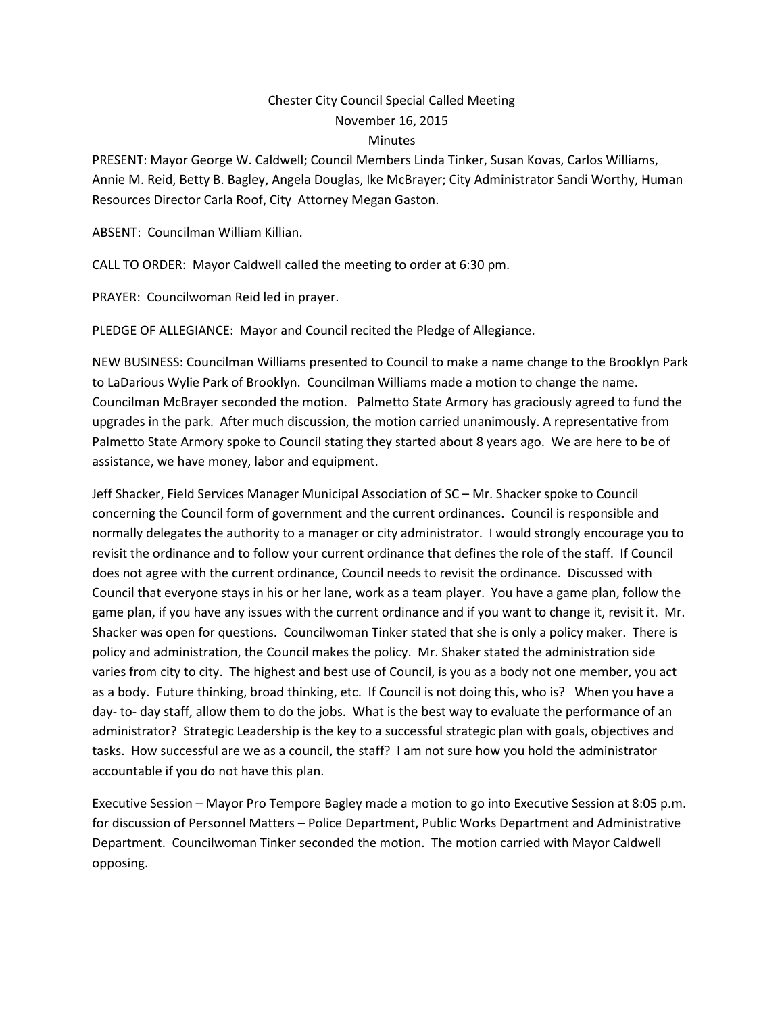## Chester City Council Special Called Meeting November 16, 2015 **Minutes**

PRESENT: Mayor George W. Caldwell; Council Members Linda Tinker, Susan Kovas, Carlos Williams, Annie M. Reid, Betty B. Bagley, Angela Douglas, Ike McBrayer; City Administrator Sandi Worthy, Human Resources Director Carla Roof, City Attorney Megan Gaston.

ABSENT: Councilman William Killian.

CALL TO ORDER: Mayor Caldwell called the meeting to order at 6:30 pm.

PRAYER: Councilwoman Reid led in prayer.

PLEDGE OF ALLEGIANCE: Mayor and Council recited the Pledge of Allegiance.

NEW BUSINESS: Councilman Williams presented to Council to make a name change to the Brooklyn Park to LaDarious Wylie Park of Brooklyn. Councilman Williams made a motion to change the name. Councilman McBrayer seconded the motion. Palmetto State Armory has graciously agreed to fund the upgrades in the park. After much discussion, the motion carried unanimously. A representative from Palmetto State Armory spoke to Council stating they started about 8 years ago. We are here to be of assistance, we have money, labor and equipment.

Jeff Shacker, Field Services Manager Municipal Association of SC – Mr. Shacker spoke to Council concerning the Council form of government and the current ordinances. Council is responsible and normally delegates the authority to a manager or city administrator. I would strongly encourage you to revisit the ordinance and to follow your current ordinance that defines the role of the staff. If Council does not agree with the current ordinance, Council needs to revisit the ordinance. Discussed with Council that everyone stays in his or her lane, work as a team player. You have a game plan, follow the game plan, if you have any issues with the current ordinance and if you want to change it, revisit it. Mr. Shacker was open for questions. Councilwoman Tinker stated that she is only a policy maker. There is policy and administration, the Council makes the policy. Mr. Shaker stated the administration side varies from city to city. The highest and best use of Council, is you as a body not one member, you act as a body. Future thinking, broad thinking, etc. If Council is not doing this, who is? When you have a day- to- day staff, allow them to do the jobs. What is the best way to evaluate the performance of an administrator? Strategic Leadership is the key to a successful strategic plan with goals, objectives and tasks. How successful are we as a council, the staff? I am not sure how you hold the administrator accountable if you do not have this plan.

Executive Session – Mayor Pro Tempore Bagley made a motion to go into Executive Session at 8:05 p.m. for discussion of Personnel Matters – Police Department, Public Works Department and Administrative Department. Councilwoman Tinker seconded the motion. The motion carried with Mayor Caldwell opposing.